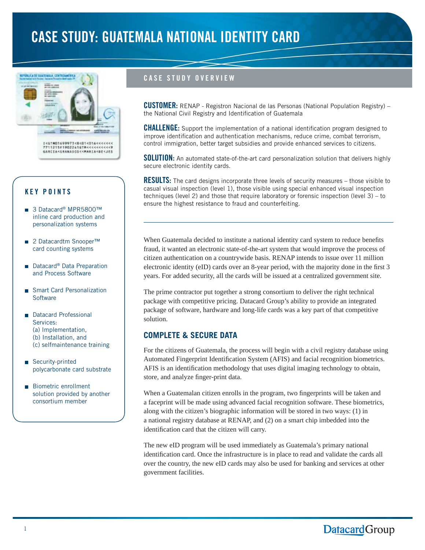# CASE STUDY: GUATEMALA NATIONAL IDENTITY CARD



## KEY POINTS

- 3 Datacard<sup>®</sup> MPR5800™ inline card production and personalization systems
- 2 Datacardtm Snooper<sup>™</sup> card counting systems
- Datacard<sup>®</sup> Data Preparation and Process Software
- **Burger** Smart Card Personalization **Software**
- **Datacard Professional** Services: (a) Implementation, (b) Installation, and (c) selfmaintenance training
- **B** Security-printed polycarbonate card substrate
- **Biometric enrollment** solution provided by another consortium member

# CASE STUDY OVERVIEW

CUSTOMER: RENAP - Registron Nacional de las Personas (National Population Registry) – the National Civil Registry and Identification of Guatemala

**CHALLENGE:** Support the implementation of a national identification program designed to improve identification and authentication mechanisms, reduce crime, combat terrorism, control immigration, better target subsidies and provide enhanced services to citizens.

**SOLUTION:** An automated state-of-the-art card personalization solution that delivers highly secure electronic identity cards.

**RESULTS:** The card designs incorporate three levels of security measures – those visible to casual visual inspection (level 1), those visible using special enhanced visual inspection techniques (level 2) and those that require laboratory or forensic inspection (level 3) – to ensure the highest resistance to fraud and counterfeiting.

When Guatemala decided to institute a national identity card system to reduce benefits fraud, it wanted an electronic state-of-the-art system that would improve the process of citizen authentication on a countrywide basis. RENAP intends to issue over 11 million electronic identity (eID) cards over an 8-year period, with the majority done in the first 3 years. For added security, all the cards will be issued at a centralized government site.

The prime contractor put together a strong consortium to deliver the right technical package with competitive pricing. Datacard Group's ability to provide an integrated package of software, hardware and long-life cards was a key part of that competitive solution.

# **COMPLETE & SECURE DATA**

For the citizens of Guatemala, the process will begin with a civil registry database using Automated Fingerprint Identification System (AFIS) and facial recognition biometrics. AFIS is an identification methodology that uses digital imaging technology to obtain, store, and analyze finger-print data.

When a Guatemalan citizen enrolls in the program, two fingerprints will be taken and a faceprint will be made using advanced facial recognition software. These biometrics, along with the citizen's biographic information will be stored in two ways: (1) in a national registry database at RENAP, and (2) on a smart chip imbedded into the identification card that the citizen will carry.

The new eID program will be used immediately as Guatemala's primary national identification card. Once the infrastructure is in place to read and validate the cards all over the country, the new eID cards may also be used for banking and services at other government facilities.